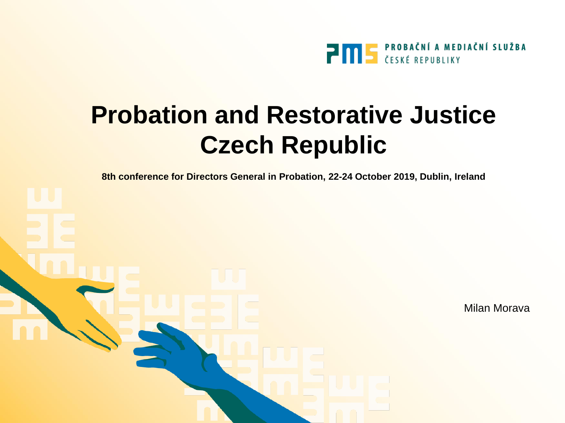

**8th conference for Directors General in Probation, 22-24 October 2019, Dublin, Ireland**

Milan Morava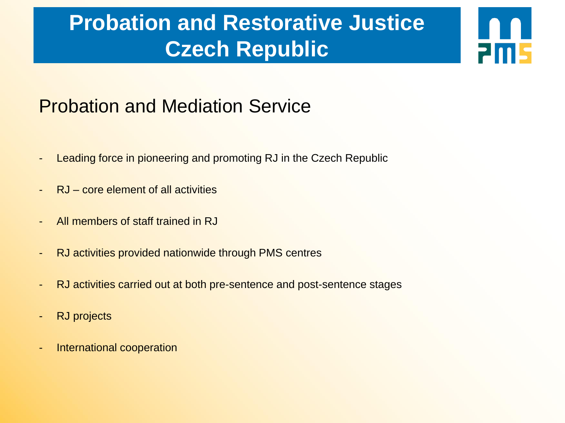**2m5** 

#### Probation and Mediation Service

- Leading force in pioneering and promoting RJ in the Czech Republic
- RJ core element of all activities
- All members of staff trained in RJ
- RJ activities provided nationwide through PMS centres
- RJ activities carried out at both pre-sentence and post-sentence stages
- RJ projects
- International cooperation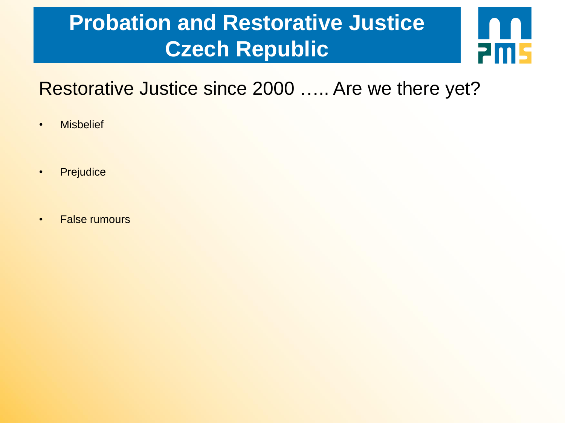

#### Restorative Justice since 2000 ….. Are we there yet?

- Misbelief
- Prejudice
- False rumours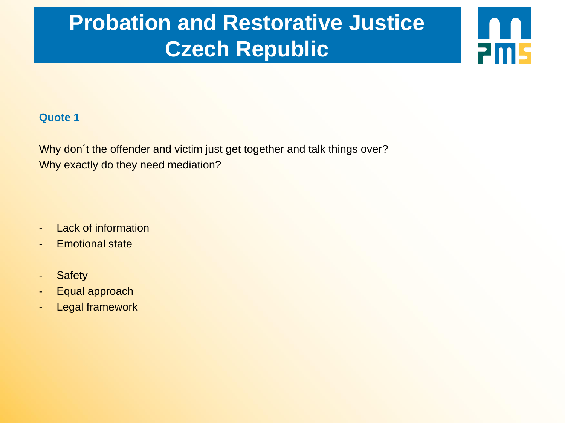**2015** 

#### **Quote 1**

Why don't the offender and victim just get together and talk things over? Why exactly do they need mediation?

- Lack of information
- Emotional state
- Safety
- Equal approach
- Legal framework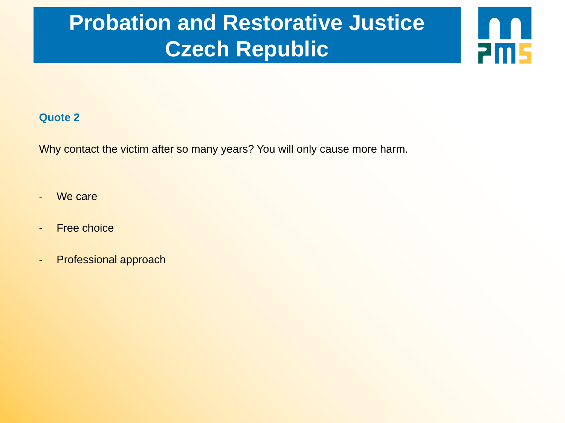**2ms** 

#### **Quote 2**

Why contact the victim after so many years? You will only cause more harm.

- We care
- Free choice
- Professional approach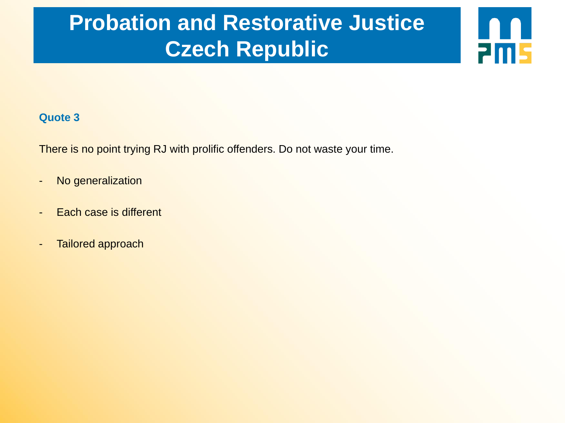**2m5** 

#### **Quote 3**

There is no point trying RJ with prolific offenders. Do not waste your time.

- No generalization
- Each case is different
- Tailored approach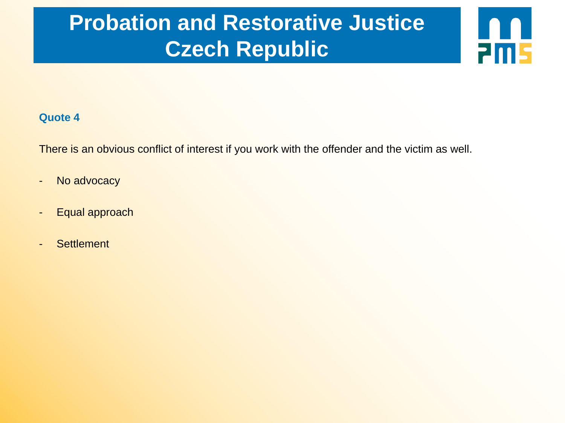**2015** 

#### **Quote 4**

There is an obvious conflict of interest if you work with the offender and the victim as well.

- No advocacy
- Equal approach
- Settlement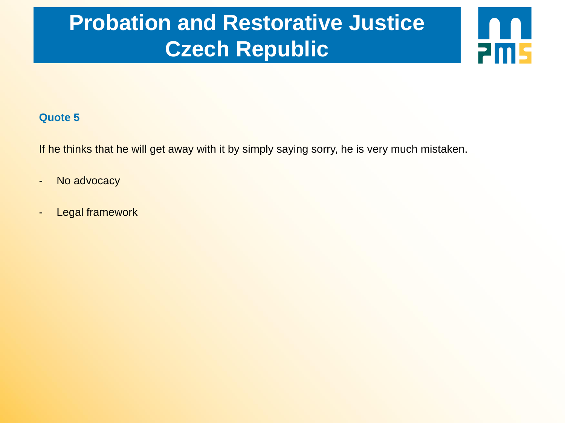**2015** 

#### **Quote 5**

If he thinks that he will get away with it by simply saying sorry, he is very much mistaken.

- No advocacy
- Legal framework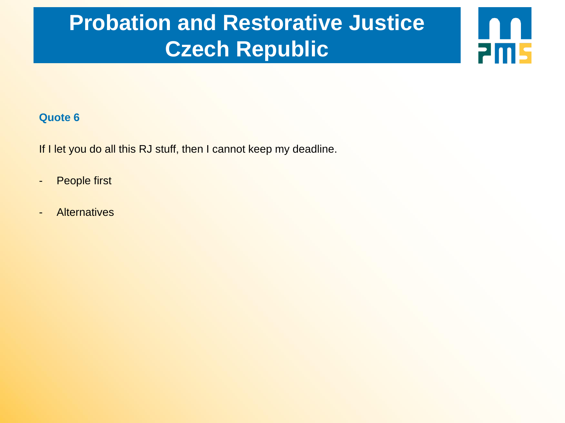**2015** 

#### **Quote 6**

If I let you do all this RJ stuff, then I cannot keep my deadline.

- People first
- Alternatives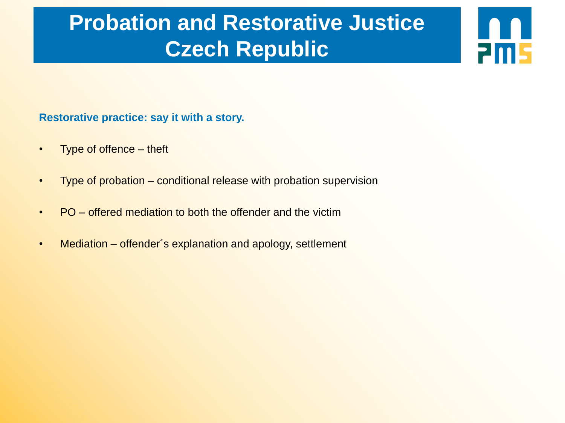**2015** 

#### **Restorative practice: say it with a story.**

- Type of offence theft
- Type of probation conditional release with probation supervision
- PO offered mediation to both the offender and the victim
- Mediation offender's explanation and apology, settlement